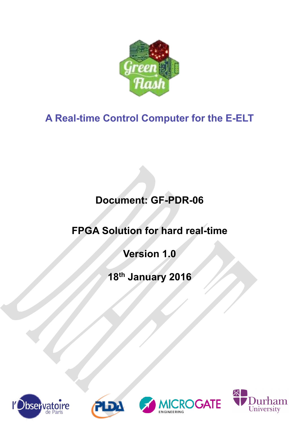

# **A Real-time Control Computer for the E-ELT**

# **Document: GF-PDR-06**

# **FPGA Solution for hard real-time**

# **Version 1.0**

# **18th January 2016**







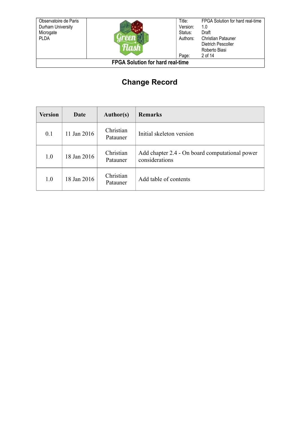Observatoire de Paris Durham University Microgate PLDA



Title: Version: Status: Authors: Page: 1.0 Draft

FPGA Solution for hard real-time Christian Patauner Dietrich Pescoller Roberto Biasi 2 of 14

**FPGA Solution for hard real-time**

# **Change Record**

| <b>Version</b> | Date        | <b>Author(s)</b>      | <b>Remarks</b>                                                   |
|----------------|-------------|-----------------------|------------------------------------------------------------------|
| 0.1            | 11 Jan 2016 | Christian<br>Patauner | Initial skeleton version                                         |
| 1.0            | 18 Jan 2016 | Christian<br>Patauner | Add chapter 2.4 - On board computational power<br>considerations |
| 1.0            | 18 Jan 2016 | Christian<br>Patauner | Add table of contents                                            |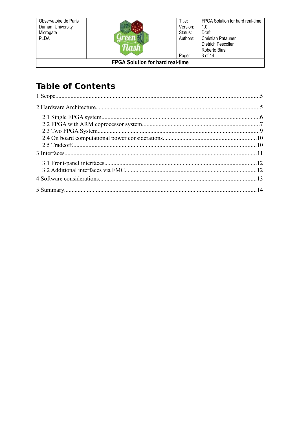Observatoire de Paris Durham University Microgate<br>PLDA



FPGA Solution for hard real-time  $Title:$ Version:  $1.0$ Status: Draft Authors: **Christian Patauner** Dietrich Pescoller Roberto Biasi Page: 3 of 14

**FPGA Solution for hard real-time** 

# **Table of Contents**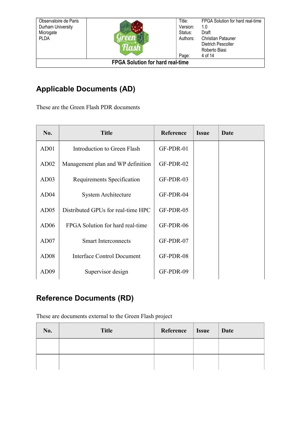Observatoire de Paris Durham University Microgate **PLDA** 



Title: Version: Status: Authors: Page: FPGA Solution for hard real-time 1.0 Draft Christian Patauner Dietrich Pescoller Roberto Biasi 4 of 14

**FPGA Solution for hard real-time**

# **Applicable Documents (AD)**

These are the Green Flash PDR documents

<span id="page-3-3"></span><span id="page-3-2"></span><span id="page-3-0"></span>

| No.              | <b>Title</b>                       | Reference | <b>Issue</b> | Date |
|------------------|------------------------------------|-----------|--------------|------|
| AD01             | Introduction to Green Flash        | GF-PDR-01 |              |      |
| AD02             | Management plan and WP definition  | GF-PDR-02 |              |      |
| AD03             | Requirements Specification         | GF-PDR-03 |              |      |
| AD04             | <b>System Architecture</b>         | GF-PDR-04 |              |      |
| AD05             | Distributed GPUs for real-time HPC | GF-PDR-05 |              |      |
| AD06             | FPGA Solution for hard real-time   | GF-PDR-06 |              |      |
| AD07             | <b>Smart Interconnects</b>         | GF-PDR-07 |              |      |
| AD <sub>08</sub> | <b>Interface Control Document</b>  | GF-PDR-08 |              |      |
| AD <sub>09</sub> | Supervisor design                  | GF-PDR-09 |              |      |

# <span id="page-3-1"></span>**Reference Documents (RD)**

These are documents external to the Green Flash project

| No. | <b>Title</b> | Reference | <b>Issue</b> | Date |
|-----|--------------|-----------|--------------|------|
|     |              |           |              |      |
|     |              |           |              |      |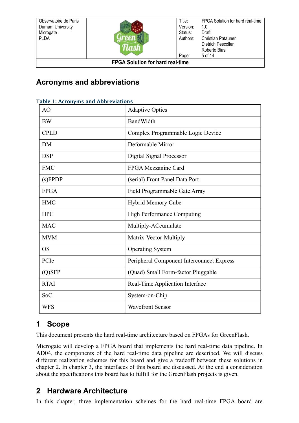Observatoire de Paris Durham University **Microgate PLDA** 



Title: Version: Status: Authors: Page: FPGA Solution for hard real-time 1.0 Draft Christian Patauner Dietrich Pescoller Roberto Biasi 5 of 14

**FPGA Solution for hard real-time**

# **Acronyms and abbreviations**

| able i. Actumyins and Abbieviations |                                           |  |  |  |
|-------------------------------------|-------------------------------------------|--|--|--|
| AO                                  | <b>Adaptive Optics</b>                    |  |  |  |
| <b>BW</b>                           | <b>BandWidth</b>                          |  |  |  |
| <b>CPLD</b>                         | Complex Programmable Logic Device         |  |  |  |
| <b>DM</b>                           | Deformable Mirror                         |  |  |  |
| <b>DSP</b>                          | Digital Signal Processor                  |  |  |  |
| <b>FMC</b>                          | FPGA Mezzanine Card                       |  |  |  |
| (s) F P D P                         | (serial) Front Panel Data Port            |  |  |  |
| <b>FPGA</b>                         | Field Programmable Gate Array             |  |  |  |
| <b>HMC</b>                          | <b>Hybrid Memory Cube</b>                 |  |  |  |
| <b>HPC</b>                          | <b>High Performance Computing</b>         |  |  |  |
| <b>MAC</b>                          | Multiply-ACcumulate                       |  |  |  |
| <b>MVM</b>                          | Matrix-Vector-Multiply                    |  |  |  |
| <b>OS</b>                           | <b>Operating System</b>                   |  |  |  |
| PCIe                                | Peripheral Component Interconnect Express |  |  |  |
| $(Q)$ SFP                           | (Quad) Small Form-factor Pluggable        |  |  |  |
| <b>RTAI</b>                         | Real-Time Application Interface           |  |  |  |
| SoC                                 | System-on-Chip                            |  |  |  |
| <b>WFS</b>                          | <b>Wavefront Sensor</b>                   |  |  |  |

#### Table 1: Acronyms and Abbreviations

## <span id="page-4-1"></span>**1 Scope**

This document presents the hard real-time architecture based on FPGAs for GreenFlash.

Microgate will develop a FPGA board that implements the hard real-time data pipeline. In [AD04,](#page-3-0) the components of the hard real-time data pipeline are described. We will discuss different realization schemes for this board and give a tradeoff between these solutions in chapter [2.](#page-4-0) In chapter [3,](#page-10-0) the interfaces of this board are discussed. At the end a consideration about the specifications this board has to fulfill for the GreenFlash projects is given.

# <span id="page-4-0"></span>**2 Hardware Architecture**

In this chapter, three implementation schemes for the hard real-time FPGA board are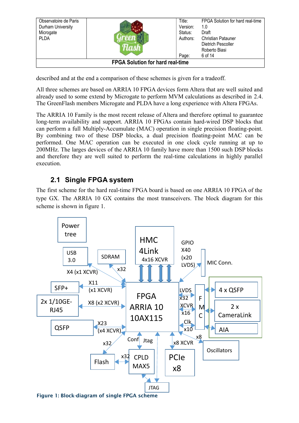| Observatoire de Paris<br>Durham University<br>Microgate<br><b>PLDA</b> |  | Title:<br>Version:<br>Status:<br>Authors: | FPGA Solution for hard real-time<br>1.0<br>Draft<br><b>Christian Patauner</b><br>Dietrich Pescoller |
|------------------------------------------------------------------------|--|-------------------------------------------|-----------------------------------------------------------------------------------------------------|
|                                                                        |  | Page:                                     | Roberto Biasi<br>6 of 14                                                                            |
| <b>FPGA Solution for hard real-time</b>                                |  |                                           |                                                                                                     |

described and at the end a comparison of these schemes is given for a tradeoff.

All three schemes are based on ARRIA 10 FPGA devices form Altera that are well suited and already used to some extend by Microgate to perform MVM calculations as described in [2.4.](#page-9-1) The GreenFlash members Microgate and PLDA have a long experience with Altera FPGAs.

The ARRIA 10 Family is the most recent release of Altera and therefore optimal to guarantee long-term availability and support. ARRIA 10 FPGAs contain hard-wired DSP blocks that can perform a full Multiply-Accumulate (MAC) operation in single precision floating-point. By combining two of these DSP blocks, a dual precision floating-point MAC can be performed. One MAC operation can be executed in one clock cycle running at up to 200MHz. The larges devices of the ARRIA 10 family have more than 1500 such DSP blocks and therefore they are well suited to perform the real-time calculations in highly parallel execution.

### <span id="page-5-0"></span>**2.1 Single FPGA system**

The first scheme for the hard real-time FPGA board is based on one ARRIA 10 FPGA of the type GX. The ARRIA 10 GX contains the most transceivers. The block diagram for this scheme is shown in figure [1.](#page-5-1)

<span id="page-5-1"></span>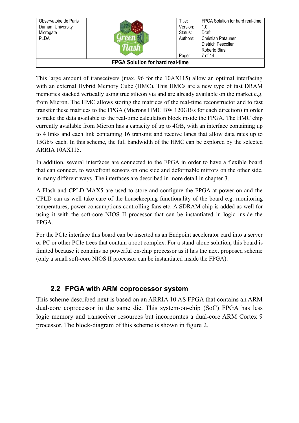| Observatoire de Paris<br>Durham University<br>Microgate<br><b>PLDA</b> |  | Title:<br>Version:<br>Status:<br>Authors:<br>Page: | FPGA Solution for hard real-time<br>1.0<br>Draft<br><b>Christian Patauner</b><br>Dietrich Pescoller<br>Roberto Biasi<br>7 of 14 |
|------------------------------------------------------------------------|--|----------------------------------------------------|---------------------------------------------------------------------------------------------------------------------------------|
| <b>FPGA Solution for hard real-time</b>                                |  |                                                    |                                                                                                                                 |

This large amount of transceivers (max. 96 for the 10AX115) allow an optimal interfacing with an external Hybrid Memory Cube (HMC). This HMCs are a new type of fast DRAM memories stacked vertically using true silicon via and are already available on the market e.g. from Micron. The HMC allows storing the matrices of the real-time reconstructor and to fast transfer these matrices to the FPGA (Microns HMC BW 120GB/s for each direction) in order to make the data available to the real-time calculation block inside the FPGA. The HMC chip currently available from Micron has a capacity of up to 4GB, with an interface containing up to 4 links and each link containing 16 transmit and receive lanes that allow data rates up to 15Gb/s each. In this scheme, the full bandwidth of the HMC can be explored by the selected ARRIA 10AX115.

In addition, several interfaces are connected to the FPGA in order to have a flexible board that can connect, to wavefront sensors on one side and deformable mirrors on the other side, in many different ways. The interfaces are described in more detail in chapter [3.](#page-10-0)

A Flash and CPLD MAX5 are used to store and configure the FPGA at power-on and the CPLD can as well take care of the housekeeping functionality of the board e.g. monitoring temperatures, power consumptions controlling fans etc. A SDRAM chip is added as well for using it with the soft-core NIOS II processor that can be instantiated in logic inside the FPGA.

For the PCIe interface this board can be inserted as an Endpoint accelerator card into a server or PC or other PCIe trees that contain a root complex. For a stand-alone solution, this board is limited because it contains no powerful on-chip processor as it has the next proposed scheme (only a small soft-core NIOS II processor can be instantiated inside the FPGA).

### <span id="page-6-0"></span>**2.2 FPGA with ARM coprocessor system**

This scheme described next is based on an ARRIA 10 AS FPGA that contains an ARM dual-core coprocessor in the same die. This system-on-chip (SoC) FPGA has less logic memory and transceiver resources but incorporates a dual-core ARM Cortex 9 processor. The block-diagram of this scheme is shown in figure [2.](#page-7-0)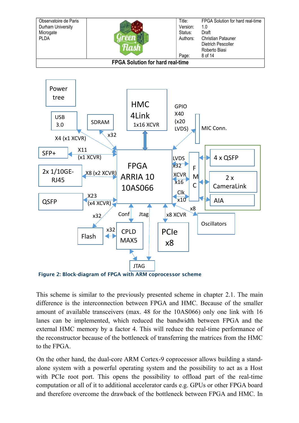



<span id="page-7-0"></span>Figure 2: Block-diagram of FPGA with ARM coprocessor scheme

This scheme is similar to the previously presented scheme in chapter [2.1.](#page-5-0) The main difference is the interconnection between FPGA and HMC. Because of the smaller amount of available transceivers (max. 48 for the 10AS066) only one link with 16 lanes can be implemented, which reduced the bandwidth between FPGA and the external HMC memory by a factor 4. This will reduce the real-time performance of the reconstructor because of the bottleneck of transferring the matrices from the HMC to the FPGA.

On the other hand, the dual-core ARM Cortex-9 coprocessor allows building a standalone system with a powerful operating system and the possibility to act as a Host with PCIe root port. This opens the possibility to offload part of the real-time computation or all of it to additional accelerator cards e.g. GPUs or other FPGA board and therefore overcome the drawback of the bottleneck between FPGA and HMC. In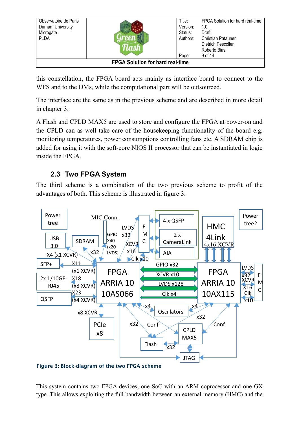| Observatoire de Paris<br>Durham University<br>Microgate<br><b>PLDA</b> |  | Title:<br>Version:<br>Status:<br>Authors: | FPGA Solution for hard real-time<br>1.0<br>Draft<br><b>Christian Patauner</b><br>Dietrich Pescoller<br>Roberto Biasi<br>9 of 14 |
|------------------------------------------------------------------------|--|-------------------------------------------|---------------------------------------------------------------------------------------------------------------------------------|
|                                                                        |  | Page:                                     |                                                                                                                                 |
| <b>FPGA Solution for hard real-time</b>                                |  |                                           |                                                                                                                                 |

this constellation, the FPGA board acts mainly as interface board to connect to the WFS and to the DMs, while the computational part will be outsourced.

The interface are the same as in the previous scheme and are described in more detail in chapter [3.](#page-10-0)

A Flash and CPLD MAX5 are used to store and configure the FPGA at power-on and the CPLD can as well take care of the housekeeping functionality of the board e.g. monitoring temperatures, power consumptions controlling fans etc. A SDRAM chip is added for using it with the soft-core NIOS II processor that can be instantiated in logic inside the FPGA.

## <span id="page-8-0"></span>**2.3 Two FPGA System**

The third scheme is a combination of the two previous scheme to profit of the advantages of both. This scheme is illustrated in figure [3.](#page-8-1)



<span id="page-8-1"></span>Figure 3: Block-diagram of the two FPGA scheme

This system contains two FPGA devices, one SoC with an ARM coprocessor and one GX type. This allows exploiting the full bandwidth between an external memory (HMC) and the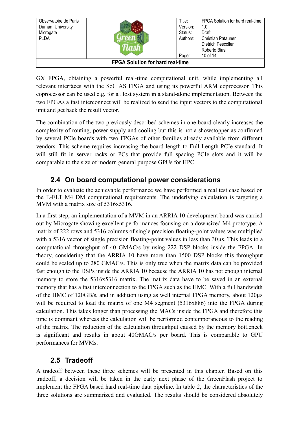| Observatoire de Paris<br>Durham University<br>Microgate<br><b>PLDA</b> |  | Title:<br>Version:<br>Status:<br>Authors: | FPGA Solution for hard real-time<br>1.0<br>Draft<br><b>Christian Patauner</b><br>Dietrich Pescoller<br>Roberto Biasi |
|------------------------------------------------------------------------|--|-------------------------------------------|----------------------------------------------------------------------------------------------------------------------|
|                                                                        |  | Page:                                     | 10 of 14                                                                                                             |
| <b>FPGA Solution for hard real-time</b>                                |  |                                           |                                                                                                                      |

GX FPGA, obtaining a powerful real-time computational unit, while implementing all relevant interfaces with the SoC AS FPGA and using its powerful ARM coprocessor. This coprocessor can be used e.g. for a Host system in a stand-alone implementation. Between the two FPGAs a fast interconnect will be realized to send the input vectors to the computational unit and get back the result vector.

The combination of the two previously described schemes in one board clearly increases the complexity of routing, power supply and cooling but this is not a showstopper as confirmed by several PCIe boards with two FPGAs of other families already available from different vendors. This scheme requires increasing the board length to Full Length PCIe standard. It will still fit in server racks or PCs that provide full spacing PCIe slots and it will be comparable to the size of modern general purpose GPUs for HPC.

### <span id="page-9-1"></span>**2.4 On board computational power considerations**

In order to evaluate the achievable performance we have performed a real test case based on the E-ELT M4 DM computational requirements. The underlying calculation is targeting a MVM with a matrix size of 5316x5316.

In a first step, an implementation of a MVM in an ARRIA 10 development board was carried out by Microgate showing excellent performances focusing on a downsized M4 prototype. A matrix of 222 rows and 5316 columns of single precision floating-point values was multiplied with a 5316 vector of single precision floating-point values in less than 30 us. This leads to a computational throughput of 40 GMAC/s by using 222 DSP blocks inside the FPGA. In theory, considering that the ARRIA 10 have more than 1500 DSP blocks this throughput could be scaled up to 280 GMAC/s. This is only true when the matrix data can be provided fast enough to the DSPs inside the ARRIA 10 because the ARRIA 10 has not enough internal memory to store the 5316x5316 matrix. The matrix data have to be saved in an external memory that has a fast interconnection to the FPGA such as the HMC. With a full bandwidth of the HMC of 120GB/s, and in addition using as well internal FPGA memory, about 120µs will be required to load the matrix of one M4 segment (5316x886) into the FPGA during calculation. This takes longer than processing the MACs inside the FPGA and therefore this time is dominant whereas the calculation will be performed contemporaneous to the reading of the matrix. The reduction of the calculation throughput caused by the memory bottleneck is significant and results in about 40GMAC/s per board. This is comparable to GPU performances for MVMs.

## <span id="page-9-0"></span>**2.5 Tradeoff**

A tradeoff between these three schemes will be presented in this chapter. Based on this tradeoff, a decision will be taken in the early next phase of the GreenFlash project to implement the FPGA based hard real-time data pipeline. In table [2,](#page-10-1) the characteristics of the three solutions are summarized and evaluated. The results should be considered absolutely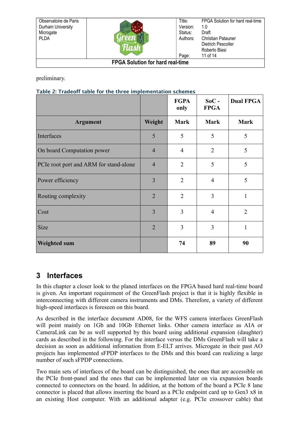| Observatoire de Paris<br>Durham University<br>Microgate<br><b>PLDA</b> |  | Title:<br>Version:<br>Status:<br>Authors: | FPGA Solution for hard real-time<br>1.0<br>Draft<br><b>Christian Patauner</b><br>Dietrich Pescoller<br>Roberto Biasi<br>11 of 14 |  |  |
|------------------------------------------------------------------------|--|-------------------------------------------|----------------------------------------------------------------------------------------------------------------------------------|--|--|
| Page:                                                                  |  |                                           |                                                                                                                                  |  |  |
| <b>FPGA Solution for hard real-time</b>                                |  |                                           |                                                                                                                                  |  |  |

preliminary.

#### <span id="page-10-1"></span>Table 2: Tradeoff table for the three implementation schemes

|                                        |                | <b>FGPA</b><br>only | $SoC -$<br><b>FPGA</b> | <b>Dual FPGA</b> |
|----------------------------------------|----------------|---------------------|------------------------|------------------|
| <b>Argument</b>                        | Weight         | <b>Mark</b>         | <b>Mark</b>            | <b>Mark</b>      |
| Interfaces                             | 5              | 5                   | 5                      | 5                |
| On board Computation power             | $\overline{4}$ | $\overline{4}$      | $\overline{2}$         | 5                |
| PCIe root port and ARM for stand-alone | $\overline{4}$ | $\overline{2}$      | 5                      | 5                |
| Power efficiency                       | 3              | $\overline{2}$      | $\overline{4}$         | 5                |
| Routing complexity                     | $\overline{2}$ | $\overline{2}$      | 3                      | 1                |
| Cost                                   | 3              | 3                   | $\overline{4}$         | $\overline{2}$   |
| <b>Size</b>                            | $\overline{2}$ | 3                   | 3                      | 1                |
| <b>Weighted sum</b>                    |                | 74                  | 89                     | 90               |

## <span id="page-10-0"></span>**3 Interfaces**

In this chapter a closer look to the planed interfaces on the FPGA based hard real-time board is given. An important requirement of the GreenFlash project is that it is highly flexible in interconnecting with different camera instruments and DMs. Therefore, a variety of different high-speed interfaces is foreseen on this board.

As described in the interface document [AD08,](#page-3-1) for the WFS camera interfaces GreenFlash will point mainly on 1Gb and 10Gb Ethernet links. Other camera interface as AIA or CameraLink can be as well supported by this board using additional expansion (daughter) cards as described in the following. For the interface versus the DMs GreenFlash will take a decision as soon as additional information from E-ELT arrives. Microgate in their past AO projects has implemented sFPDP interfaces to the DMs and this board can realizing a large number of such sFPDP connections.

Two main sets of interfaces of the board can be distinguished, the ones that are accessible on the PCIe front-panel and the ones that can be implemented later on via expansion boards connected to connectors on the board. In addition, at the bottom of the board a PCIe 8 lane connector is placed that allows inserting the board as a PCIe endpoint card up to Gen3 x8 in an existing Host computer. With an additional adapter (e.g. PCIe crossover cable) that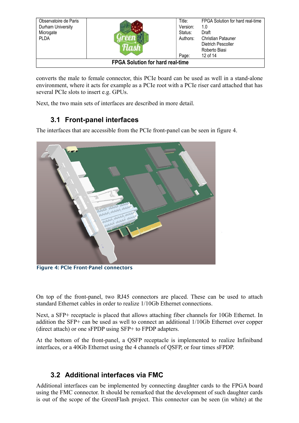| Observatoire de Paris<br>Durham University<br>Microgate<br><b>PLDA</b> |  | Title:<br>Version:<br>Status:<br>Authors:<br>Page: | FPGA Solution for hard real-time<br>1.0<br>Draft<br><b>Christian Patauner</b><br><b>Dietrich Pescoller</b><br>Roberto Biasi<br>12 of 14 |
|------------------------------------------------------------------------|--|----------------------------------------------------|-----------------------------------------------------------------------------------------------------------------------------------------|
| <b>FPGA Solution for hard real-time</b>                                |  |                                                    |                                                                                                                                         |

converts the male to female connector, this PCIe board can be used as well in a stand-alone environment, where it acts for example as a PCIe root with a PCIe riser card attached that has several PCIe slots to insert e.g. GPUs.

Next, the two main sets of interfaces are described in more detail.

### <span id="page-11-1"></span>**3.1 Front-panel interfaces**

The interfaces that are accessible from the PCIe front-panel can be seen in figure [4.](#page-11-2)



Figure 4: PCIe Front-Panel connectors

<span id="page-11-2"></span>On top of the front-panel, two RJ45 connectors are placed. These can be used to attach standard Ethernet cables in order to realize 1/10Gb Ethernet connections.

Next, a SFP+ receptacle is placed that allows attaching fiber channels for 10Gb Ethernet. In addition the SFP+ can be used as well to connect an additional 1/10Gb Ethernet over copper (direct attach) or one sFPDP using SFP+ to FPDP adapters.

At the bottom of the front-panel, a QSFP receptacle is implemented to realize Infiniband interfaces, or a 40Gb Ethernet using the 4 channels of QSFP, or four times sFPDP.

### <span id="page-11-0"></span>**3.2 Additional interfaces via FMC**

Additional interfaces can be implemented by connecting daughter cards to the FPGA board using the FMC connector. It should be remarked that the development of such daughter cards is out of the scope of the GreenFlash project. This connector can be seen (in white) at the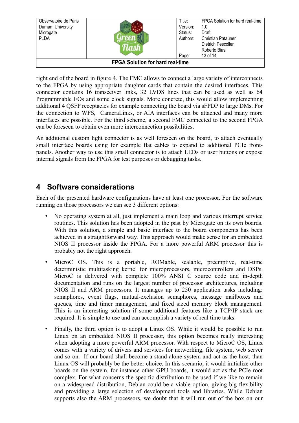| Observatoire de Paris<br>Durham University<br>Microgate<br><b>PLDA</b> |  | Title:<br>Version:<br>Status:<br>Authors: | FPGA Solution for hard real-time<br>1.0<br>Draft<br><b>Christian Patauner</b><br>Dietrich Pescoller |  |  |
|------------------------------------------------------------------------|--|-------------------------------------------|-----------------------------------------------------------------------------------------------------|--|--|
|                                                                        |  | Page:                                     | Roberto Biasi<br>13 of 14                                                                           |  |  |
| <b>FPGA Solution for hard real-time</b>                                |  |                                           |                                                                                                     |  |  |

right end of the board in figure [4.](#page-11-2) The FMC allows to connect a large variety of interconnects to the FPGA by using appropriate daughter cards that contain the desired interfaces. This connector contains 16 transceiver links, 32 LVDS lines that can be used as well as 64 Programmable I/Os and some clock signals. More concrete, this would allow implementing additional 4 QSFP receptacles for example connecting the board via sFPDP to large DMs. For the connection to WFS, CameraLinks, or AIA interfaces can be attached and many more interfaces are possible. For the third scheme, a second FMC connected to the second FPGA can be foreseen to obtain even more interconnection possibilities.

An additional custom light connector is as well foreseen on the board, to attach eventually small interface boards using for example flat cables to expand to additional PCIe frontpanels. Another way to use this small connector is to attach LEDs or user buttons or expose internal signals from the FPGA for test purposes or debugging tasks.

## <span id="page-12-0"></span>**4 Software considerations**

Each of the presented hardware configurations have at least one processor. For the software running on those processors we can see 3 different options:

- No operating system at all, just implement a main loop and various interrupt service routines. This solution has been adopted in the past by Microgate on its own boards. With this solution, a simple and basic interface to the board components has been achieved in a straightforward way. This approach would make sense for an embedded NIOS II processor inside the FPGA. For a more powerful ARM processor this is probably not the right approach.
- MicroC OS. This is a portable, ROMable, scalable, preemptive, real-time deterministic multitasking kernel for microprocessors, microcontrollers and DSPs. MicroC is delivered with complete 100% ANSI C source code and in-depth documentation and runs on the largest number of processor architectures, including NIOS II and ARM processors. It manages up to 250 application tasks including: semaphores, event flags, mutual-exclusion semaphores, message mailboxes and queues, time and timer management, and fixed sized memory block management. This is an interesting solution if some additional features like a TCP/IP stack are required. It is simple to use and can accomplish a variety of real time tasks.
- Finally, the third option is to adopt a Linux OS. While it would be possible to run Linux on an embedded NIOS II processor, this option becomes really interesting when adopting a more powerful ARM processor. With respect to MicroC OS, Linux comes with a variety of drivers and services for networking, file system, web server and so on. If our board shall become a stand-alone system and act as the host, than Linux OS will probably be the better choice. In this scenario, it would initialize other boards on the system, for instance other GPU boards, it would act as the PCIe root complex. For what concerns the specific distribution to be used if we like to remain on a widespread distribution, Debian could be a viable option, giving big flexibility and providing a large selection of development tools and libraries. While Debian supports also the ARM processors, we doubt that it will run out of the box on our